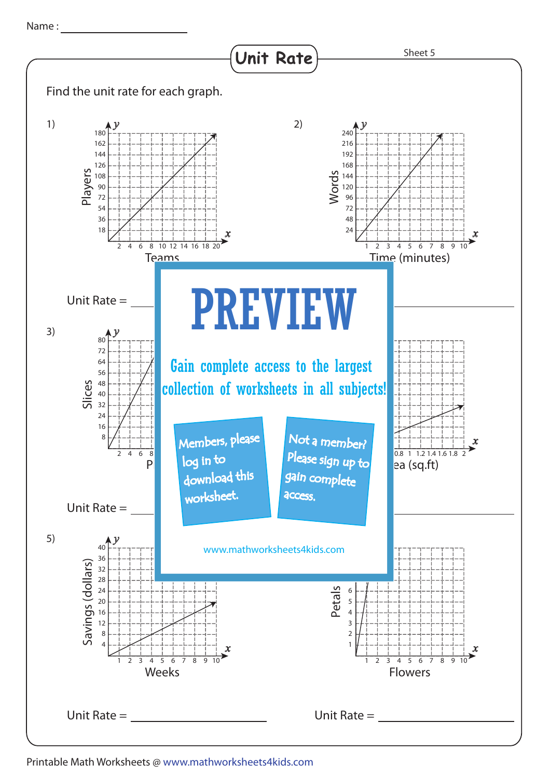